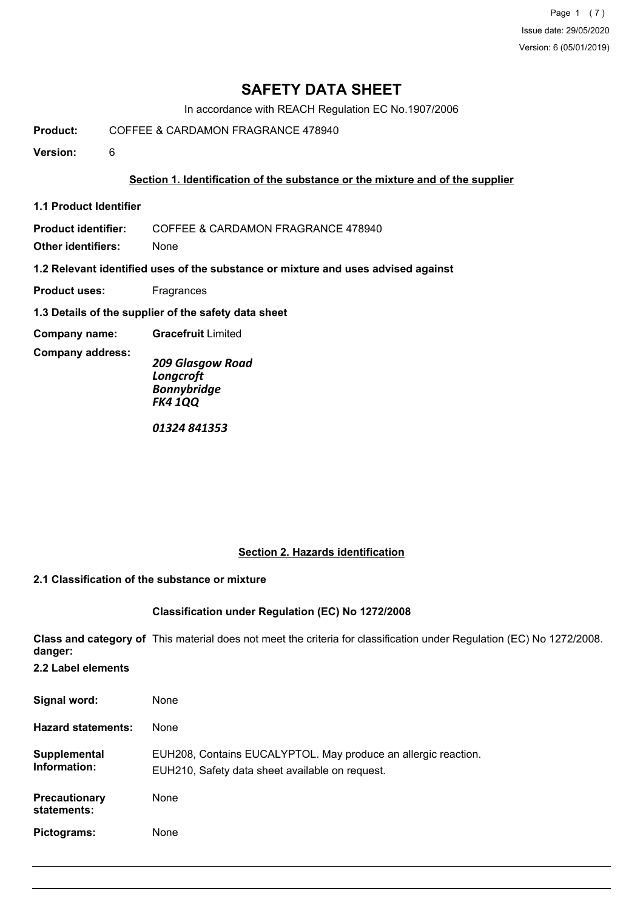Page 1 (7) Issue date: 29/05/2020 Version: 6 (05/01/2019)

## **SAFETY DATA SHEET**

In accordance with REACH Regulation EC No.1907/2006

**Product:** COFFEE & CARDAMON FRAGRANCE 478940

**Version:** 6

### **Section 1. Identification of the substance or the mixture and of the supplier**

**1.1 Product Identifier**

**Product identifier:** COFFEE & CARDAMON FRAGRANCE 478940

**Other identifiers:** None

**1.2 Relevant identified uses of the substance or mixture and uses advised against**

**Product uses:** Fragrances

**1.3 Details of the supplier of the safety data sheet**

**Company name: Gracefruit** Limited

**Company address:**

*209 Glasgow Road Longcroft Bonnybridge FK4 1QQ*

*01324 841353*

#### **Section 2. Hazards identification**

#### **2.1 Classification of the substance or mixture**

#### **Classification under Regulation (EC) No 1272/2008**

**Class and category of** This material does not meet the criteria for classification under Regulation (EC) No 1272/2008. **danger:**

**2.2 Label elements**

| Signal word:                        | None                                                                                                              |
|-------------------------------------|-------------------------------------------------------------------------------------------------------------------|
| <b>Hazard statements:</b>           | None                                                                                                              |
| Supplemental<br>Information:        | EUH208, Contains EUCALYPTOL. May produce an allergic reaction.<br>EUH210, Safety data sheet available on request. |
| <b>Precautionary</b><br>statements: | None                                                                                                              |
| Pictograms:                         | None                                                                                                              |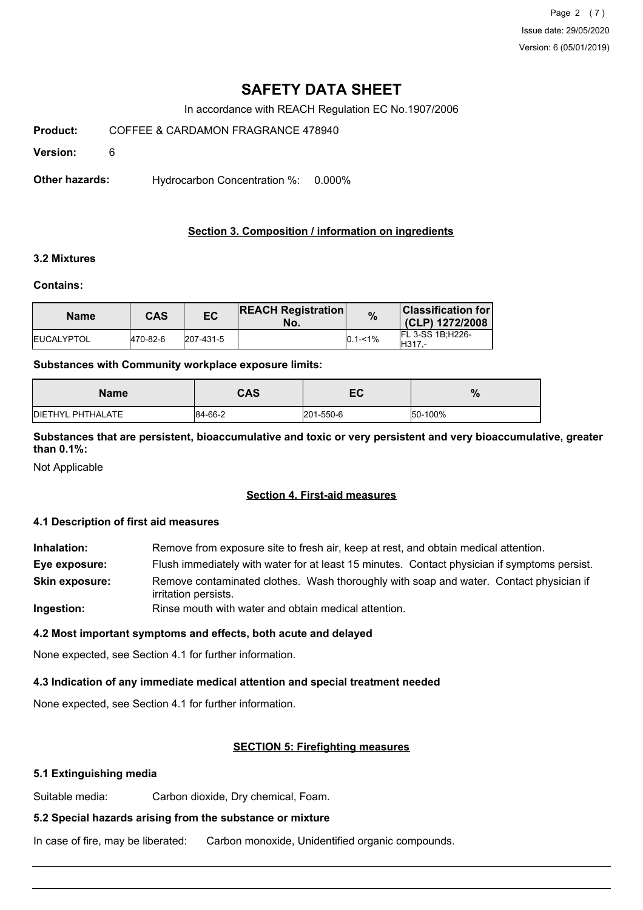Page 2 (7) Issue date: 29/05/2020 Version: 6 (05/01/2019)

## **SAFETY DATA SHEET**

In accordance with REACH Regulation EC No.1907/2006

**Product:** COFFEE & CARDAMON FRAGRANCE 478940

**Version:** 6

**Other hazards:** Hydrocarbon Concentration %: 0.000%

## **Section 3. Composition / information on ingredients**

### **3.2 Mixtures**

#### **Contains:**

| <b>Name</b>        | CAS       | EC        | <b>REACH Registration</b><br>No. | $\%$         | <b>Classification for  </b><br>(CLP) 1272/2008 |
|--------------------|-----------|-----------|----------------------------------|--------------|------------------------------------------------|
| <b>IEUCALYPTOL</b> | 1470-82-6 | 207-431-5 |                                  | $10.1 - 1\%$ | <b>IFL 3-SS 1B:H226-</b><br>IH317.-            |

#### **Substances with Community workplace exposure limits:**

| <b>Name</b>               | CAS     | -0<br>cv  | 70      |
|---------------------------|---------|-----------|---------|
| <b>IDIETHYL PHTHALATE</b> | 84-66-2 | 201-550-6 | 50-100% |

**Substances that are persistent, bioaccumulative and toxic or very persistent and very bioaccumulative, greater than 0.1%:**

Not Applicable

#### **Section 4. First-aid measures**

#### **4.1 Description of first aid measures**

**Inhalation:** Remove from exposure site to fresh air, keep at rest, and obtain medical attention. **Eye exposure:** Flush immediately with water for at least 15 minutes. Contact physician if symptoms persist. Remove contaminated clothes. Wash thoroughly with soap and water. Contact physician if irritation persists. **Skin exposure: Ingestion:** Rinse mouth with water and obtain medical attention.

# **4.2 Most important symptoms and effects, both acute and delayed**

None expected, see Section 4.1 for further information.

#### **4.3 Indication of any immediate medical attention and special treatment needed**

None expected, see Section 4.1 for further information.

#### **SECTION 5: Firefighting measures**

### **5.1 Extinguishing media**

Suitable media: Carbon dioxide, Dry chemical, Foam.

## **5.2 Special hazards arising from the substance or mixture**

In case of fire, may be liberated: Carbon monoxide, Unidentified organic compounds.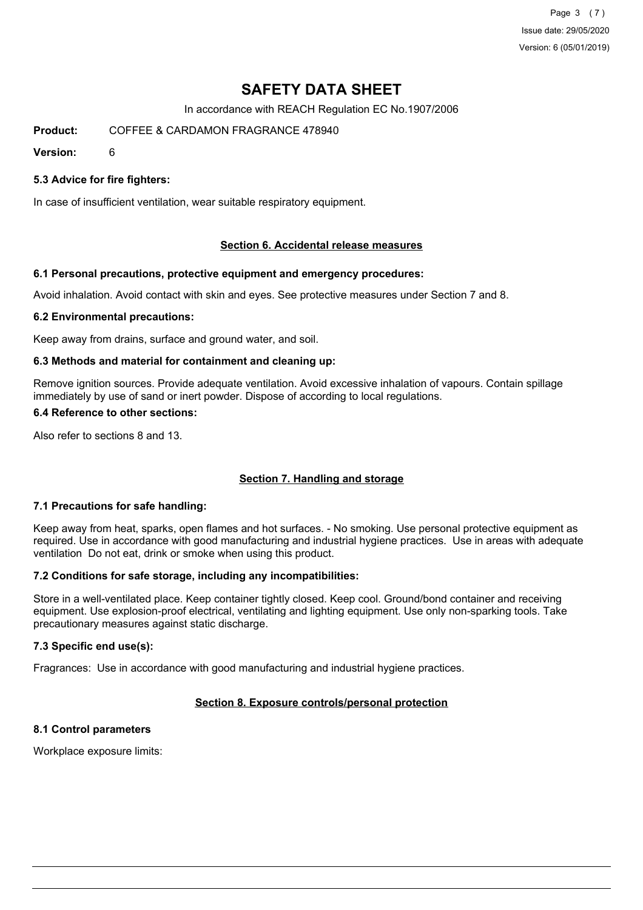Page 3 (7) Issue date: 29/05/2020 Version: 6 (05/01/2019)

# **SAFETY DATA SHEET**

In accordance with REACH Regulation EC No.1907/2006

**Product:** COFFEE & CARDAMON FRAGRANCE 478940

**Version:** 6

### **5.3 Advice for fire fighters:**

In case of insufficient ventilation, wear suitable respiratory equipment.

#### **Section 6. Accidental release measures**

#### **6.1 Personal precautions, protective equipment and emergency procedures:**

Avoid inhalation. Avoid contact with skin and eyes. See protective measures under Section 7 and 8.

#### **6.2 Environmental precautions:**

Keep away from drains, surface and ground water, and soil.

#### **6.3 Methods and material for containment and cleaning up:**

Remove ignition sources. Provide adequate ventilation. Avoid excessive inhalation of vapours. Contain spillage immediately by use of sand or inert powder. Dispose of according to local regulations.

#### **6.4 Reference to other sections:**

Also refer to sections 8 and 13.

#### **Section 7. Handling and storage**

#### **7.1 Precautions for safe handling:**

Keep away from heat, sparks, open flames and hot surfaces. - No smoking. Use personal protective equipment as required. Use in accordance with good manufacturing and industrial hygiene practices. Use in areas with adequate ventilation Do not eat, drink or smoke when using this product.

#### **7.2 Conditions for safe storage, including any incompatibilities:**

Store in a well-ventilated place. Keep container tightly closed. Keep cool. Ground/bond container and receiving equipment. Use explosion-proof electrical, ventilating and lighting equipment. Use only non-sparking tools. Take precautionary measures against static discharge.

#### **7.3 Specific end use(s):**

Fragrances: Use in accordance with good manufacturing and industrial hygiene practices.

## **Section 8. Exposure controls/personal protection**

## **8.1 Control parameters**

Workplace exposure limits: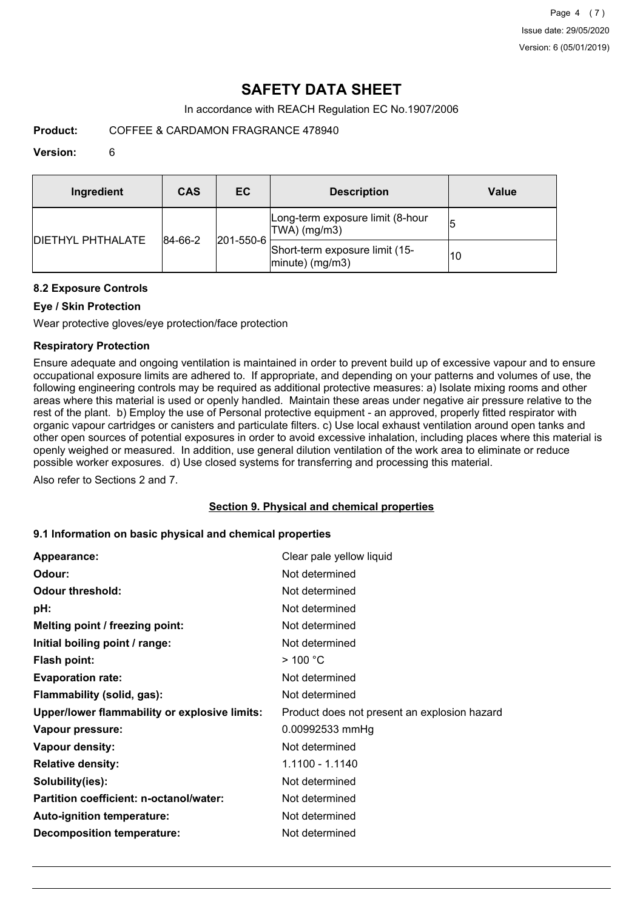# **SAFETY DATA SHEET**

In accordance with REACH Regulation EC No.1907/2006

**Product:** COFFEE & CARDAMON FRAGRANCE 478940

#### **Version:** 6

| Ingredient                | CAS     | EC                | <b>Description</b>                                   | Value |
|---------------------------|---------|-------------------|------------------------------------------------------|-------|
| <b>IDIETHYL PHTHALATE</b> | 84-66-2 | $ 201 - 550 - 6 $ | Long-term exposure limit (8-hour<br>TWA) (mg/m3)     |       |
|                           |         |                   | Short-term exposure limit (15-<br>$ minute)$ (mg/m3) | 10    |

### **8.2 Exposure Controls**

## **Eye / Skin Protection**

Wear protective gloves/eye protection/face protection

### **Respiratory Protection**

Ensure adequate and ongoing ventilation is maintained in order to prevent build up of excessive vapour and to ensure occupational exposure limits are adhered to. If appropriate, and depending on your patterns and volumes of use, the following engineering controls may be required as additional protective measures: a) Isolate mixing rooms and other areas where this material is used or openly handled. Maintain these areas under negative air pressure relative to the rest of the plant. b) Employ the use of Personal protective equipment - an approved, properly fitted respirator with organic vapour cartridges or canisters and particulate filters. c) Use local exhaust ventilation around open tanks and other open sources of potential exposures in order to avoid excessive inhalation, including places where this material is openly weighed or measured. In addition, use general dilution ventilation of the work area to eliminate or reduce possible worker exposures. d) Use closed systems for transferring and processing this material.

Also refer to Sections 2 and 7.

#### **Section 9. Physical and chemical properties**

#### **9.1 Information on basic physical and chemical properties**

| Appearance:                                   | Clear pale yellow liquid                     |
|-----------------------------------------------|----------------------------------------------|
| Odour:                                        | Not determined                               |
| <b>Odour threshold:</b>                       | Not determined                               |
| pH:                                           | Not determined                               |
| Melting point / freezing point:               | Not determined                               |
| Initial boiling point / range:                | Not determined                               |
| <b>Flash point:</b>                           | $>$ 100 °C                                   |
| <b>Evaporation rate:</b>                      | Not determined                               |
| Flammability (solid, gas):                    | Not determined                               |
| Upper/lower flammability or explosive limits: | Product does not present an explosion hazard |
| Vapour pressure:                              | 0.00992533 mmHg                              |
| Vapour density:                               | Not determined                               |
| <b>Relative density:</b>                      | 1.1100 - 1.1140                              |
| Solubility(ies):                              | Not determined                               |
| Partition coefficient: n-octanol/water:       | Not determined                               |
| Auto-ignition temperature:                    | Not determined                               |
| <b>Decomposition temperature:</b>             | Not determined                               |
|                                               |                                              |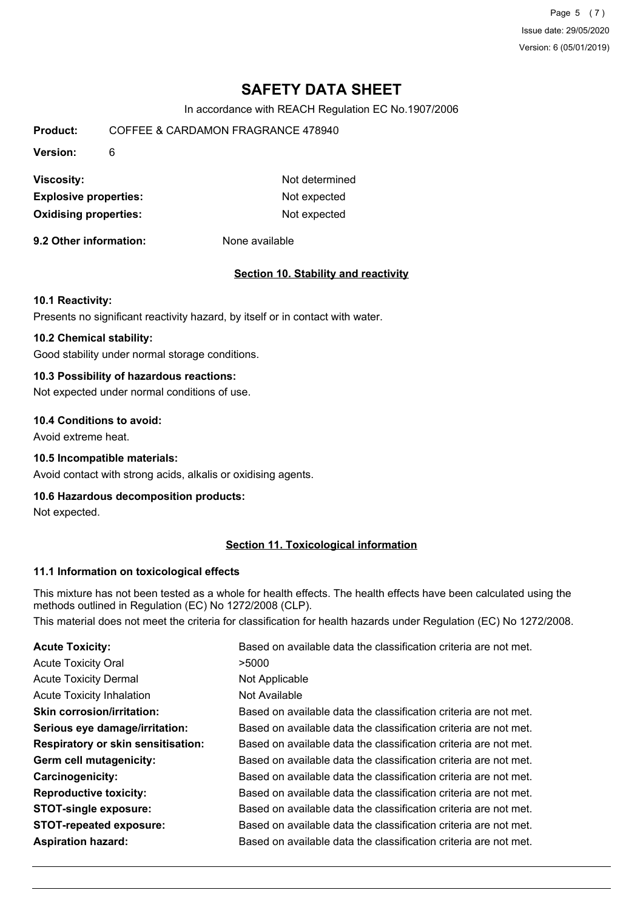Page 5 (7) Issue date: 29/05/2020 Version: 6 (05/01/2019)

# **SAFETY DATA SHEET**

In accordance with REACH Regulation EC No.1907/2006

| Product:                     | COFFEE & CARDAMON FRAGRANCE 478940 |                |  |
|------------------------------|------------------------------------|----------------|--|
| <b>Version:</b>              | 6                                  |                |  |
| <b>Viscosity:</b>            |                                    | Not determined |  |
| <b>Explosive properties:</b> |                                    | Not expected   |  |
| <b>Oxidising properties:</b> |                                    | Not expected   |  |

**9.2 Other information:** None available

#### **Section 10. Stability and reactivity**

#### **10.1 Reactivity:**

Presents no significant reactivity hazard, by itself or in contact with water.

## **10.2 Chemical stability:**

Good stability under normal storage conditions.

## **10.3 Possibility of hazardous reactions:**

Not expected under normal conditions of use.

#### **10.4 Conditions to avoid:**

Avoid extreme heat.

#### **10.5 Incompatible materials:**

Avoid contact with strong acids, alkalis or oxidising agents.

#### **10.6 Hazardous decomposition products:**

Not expected.

### **Section 11. Toxicological information**

#### **11.1 Information on toxicological effects**

This mixture has not been tested as a whole for health effects. The health effects have been calculated using the methods outlined in Regulation (EC) No 1272/2008 (CLP).

This material does not meet the criteria for classification for health hazards under Regulation (EC) No 1272/2008.

| <b>Acute Toxicity:</b>                    | Based on available data the classification criteria are not met. |
|-------------------------------------------|------------------------------------------------------------------|
| <b>Acute Toxicity Oral</b>                | >5000                                                            |
| <b>Acute Toxicity Dermal</b>              | Not Applicable                                                   |
| <b>Acute Toxicity Inhalation</b>          | Not Available                                                    |
| <b>Skin corrosion/irritation:</b>         | Based on available data the classification criteria are not met. |
| Serious eye damage/irritation:            | Based on available data the classification criteria are not met. |
| <b>Respiratory or skin sensitisation:</b> | Based on available data the classification criteria are not met. |
| Germ cell mutagenicity:                   | Based on available data the classification criteria are not met. |
| <b>Carcinogenicity:</b>                   | Based on available data the classification criteria are not met. |
| <b>Reproductive toxicity:</b>             | Based on available data the classification criteria are not met. |
| <b>STOT-single exposure:</b>              | Based on available data the classification criteria are not met. |
| <b>STOT-repeated exposure:</b>            | Based on available data the classification criteria are not met. |
| <b>Aspiration hazard:</b>                 | Based on available data the classification criteria are not met. |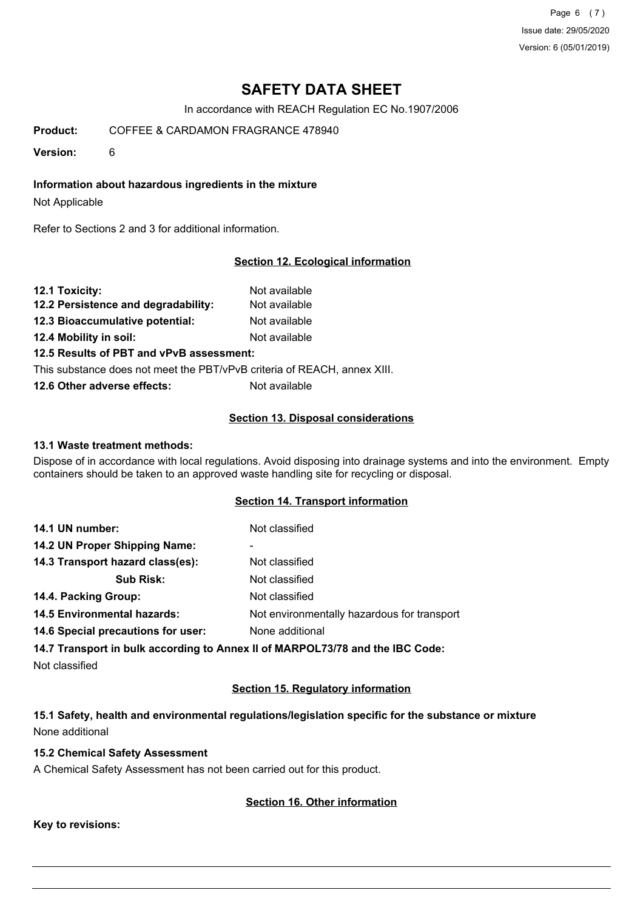Page 6 (7) Issue date: 29/05/2020 Version: 6 (05/01/2019)

# **SAFETY DATA SHEET**

In accordance with REACH Regulation EC No.1907/2006

**Product:** COFFEE & CARDAMON FRAGRANCE 478940

**Version:** 6

**Information about hazardous ingredients in the mixture**

Not Applicable

Refer to Sections 2 and 3 for additional information.

### **Section 12. Ecological information**

| 12.1 Toxicity:                                                           | Not available |
|--------------------------------------------------------------------------|---------------|
| 12.2 Persistence and degradability:                                      | Not available |
| 12.3 Bioaccumulative potential:                                          | Not available |
| 12.4 Mobility in soil:                                                   | Not available |
| 12.5 Results of PBT and vPvB assessment:                                 |               |
| This substance does not meet the PBT/vPvB criteria of REACH, annex XIII. |               |

**12.6 Other adverse effects:** Not available

#### **Section 13. Disposal considerations**

#### **13.1 Waste treatment methods:**

Dispose of in accordance with local regulations. Avoid disposing into drainage systems and into the environment. Empty containers should be taken to an approved waste handling site for recycling or disposal.

### **Section 14. Transport information**

| 14.1 UN number:                    | Not classified                              |
|------------------------------------|---------------------------------------------|
| 14.2 UN Proper Shipping Name:      | ۰                                           |
| 14.3 Transport hazard class(es):   | Not classified                              |
| <b>Sub Risk:</b>                   | Not classified                              |
| 14.4. Packing Group:               | Not classified                              |
| <b>14.5 Environmental hazards:</b> | Not environmentally hazardous for transport |
| 14.6 Special precautions for user: | None additional                             |

**14.7 Transport in bulk according to Annex II of MARPOL73/78 and the IBC Code:**

Not classified

#### **Section 15. Regulatory information**

**15.1 Safety, health and environmental regulations/legislation specific for the substance or mixture** None additional

## **15.2 Chemical Safety Assessment**

A Chemical Safety Assessment has not been carried out for this product.

#### **Section 16. Other information**

**Key to revisions:**